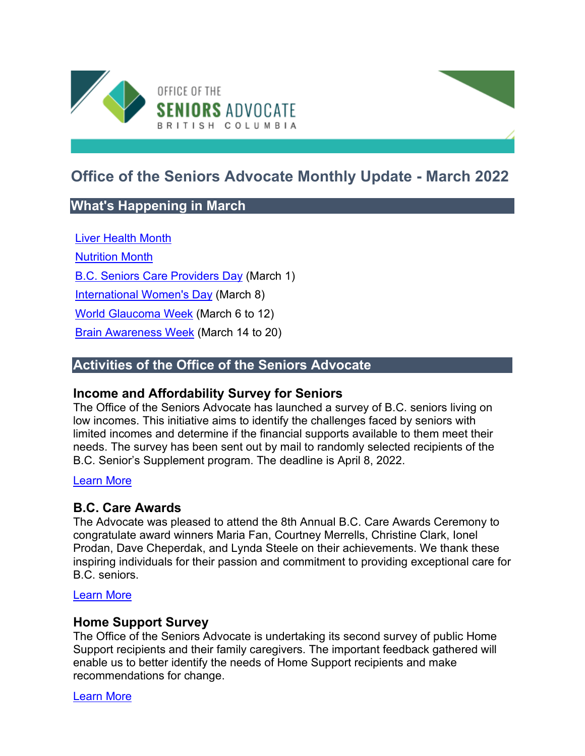

# **Office of the Seniors Advocate Monthly Update - March 2022**

# **What's Happening in March**

[Liver Health Month](https://www.liver.ca/liver-health-month-2018-checkyourengine/)

[Nutrition Month](https://www.dietitians.ca/Advocacy/Nutrition-Month/Nutrition-Month-2022)

[B.C. Seniors Care Providers Day](https://bccare.ca/2022/03/b-c-government-proclaims-march-1st-as-bc-seniors-care-providers-day/) (March 1)

[International Women's Day](https://women-gender-equality.canada.ca/en/commemorations-celebrations/international-womens-day.html) (March 8)

[World Glaucoma Week](https://www.worldglaucomaweek.org/) (March 6 to 12)

**[Brain Awareness Week](https://www.brainawareness.org/) (March 14 to 20)** 

# **Activities of the Office of the Seniors Advocate**

### **Income and Affordability Survey for Seniors**

The Office of the Seniors Advocate has launched a survey of B.C. seniors living on low incomes. This initiative aims to identify the challenges faced by seniors with limited incomes and determine if the financial supports available to them meet their needs. The survey has been sent out by mail to randomly selected recipients of the B.C. Senior's Supplement program. The deadline is April 8, 2022.

#### [Learn More](https://www.seniorsadvocatebc.ca/current-issues/income-and-affordability-survey-2022/)

# **B.C. Care Awards**

The Advocate was pleased to attend the 8th Annual B.C. Care Awards Ceremony to congratulate award winners Maria Fan, Courtney Merrells, Christine Clark, Ionel Prodan, Dave Cheperdak, and Lynda Steele on their achievements. We thank these inspiring individuals for their passion and commitment to providing exceptional care for B.C. seniors.

#### [Learn More](https://bccare.ca/bccare-awards/)

### **Home Support Survey**

The Office of the Seniors Advocate is undertaking its second survey of public Home Support recipients and their family caregivers. The important feedback gathered will enable us to better identify the needs of Home Support recipients and make recommendations for change.

[Learn More](https://www.seniorsadvocatebc.ca/current-issues/home-support-survey-2022/)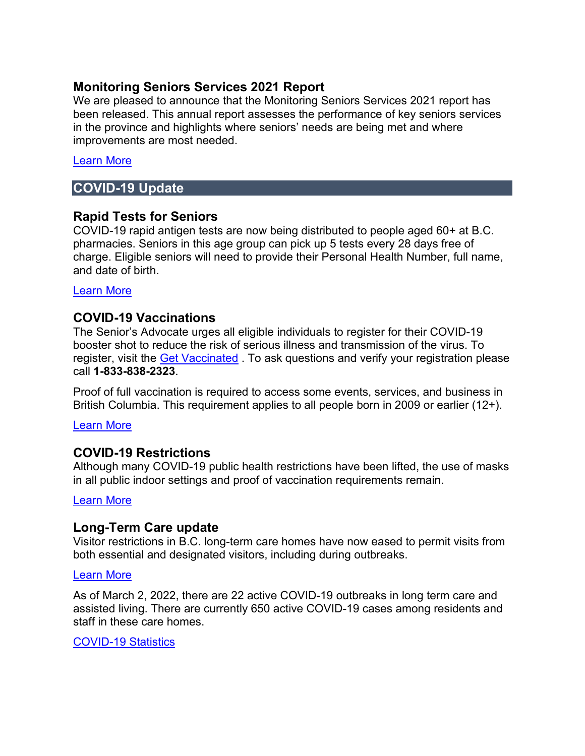### **Monitoring Seniors Services 2021 Report**

We are pleased to announce that the Monitoring Seniors Services 2021 report has been released. This annual report assesses the performance of key seniors services in the province and highlights where seniors' needs are being met and where improvements are most needed.

#### [Learn More](https://www.seniorsadvocatebc.ca/monitoring-seniors-services/)

### **COVID-19 Update**

### **Rapid Tests for Seniors**

COVID-19 rapid antigen tests are now being distributed to people aged 60+ at B.C. pharmacies. Seniors in this age group can pick up 5 tests every 28 days free of charge. Eligible seniors will need to provide their Personal Health Number, full name, and date of birth.

[Learn More](https://www2.gov.bc.ca/gov/content/covid-19/info/testing) 

### **COVID-19 Vaccinations**

The Senior's Advocate urges all eligible individuals to register for their COVID-19 booster shot to reduce the risk of serious illness and transmission of the virus. To register, visit the [Get Vaccinated](https://can01.safelinks.protection.outlook.com/?url=http%3A%2F%2Fgov.bc.ca%2Fgetvaccinated&data=04%7C01%7CJanice.Chow%40gov.bc.ca%7C160a17b3ec1e415fc41808d9aea7fd3c%7C6fdb52003d0d4a8ab036d3685e359adc%7C0%7C0%7C637732859369387225%7CUnknown%7CTWFpbGZsb3d8eyJWIjoiMC4wLjAwMDAiLCJQIjoiV2luMzIiLCJBTiI6Ik1haWwiLCJXVCI6Mn0%3D%7C0&sdata=hUPChRIABM%2BSA2rUXtUTrSzy7iy5J3SR4DAF87nwQ48%3D&reserved=0) . To ask questions and verify your registration please call **1-833-838-2323**.

Proof of full vaccination is required to access some events, services, and business in British Columbia. This requirement applies to all people born in 2009 or earlier (12+).

#### [Learn More](https://www2.gov.bc.ca/gov/content/covid-19/vaccine/proof)

### **COVID-19 Restrictions**

Although many COVID-19 public health restrictions have been lifted, the use of masks in all public indoor settings and proof of vaccination requirements remain.

[Learn More](https://www2.gov.bc.ca/gov/content/covid-19/info/restrictions) 

### **Long-Term Care update**

Visitor restrictions in B.C. long-term care homes have now eased to permit visits from both essential and designated visitors, including during outbreaks.

#### [Learn More](http://www.bccdc.ca/Health-Info-Site/Documents/Visitors_Long-Term_Care_Seniors_Assisted_Living.pdf)

As of March 2, 2022, there are 22 active COVID-19 outbreaks in long term care and assisted living. There are currently 650 active COVID-19 cases among residents and staff in these care homes.

[COVID-19 Statistics](https://www.seniorsadvocatebc.ca/covid-19/covid-19-statistics/)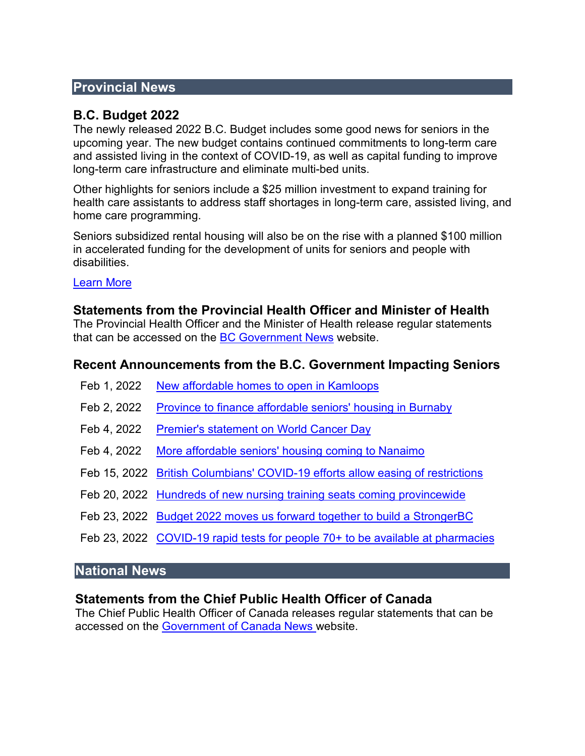### **Provincial News**

### **B.C. Budget 2022**

The newly released 2022 B.C. Budget includes some good news for seniors in the upcoming year. The new budget contains continued commitments to long-term care and assisted living in the context of COVID-19, as well as capital funding to improve long-term care infrastructure and eliminate multi-bed units.

Other highlights for seniors include a \$25 million investment to expand training for health care assistants to address staff shortages in long-term care, assisted living, and home care programming.

Seniors subsidized rental housing will also be on the rise with a planned \$100 million in accelerated funding for the development of units for seniors and people with disabilities.

#### [Learn More](https://www.bcbudget.gov.bc.ca/2022/default.htm/)

#### **Statements from the Provincial Health Officer and Minister of Health**

The Provincial Health Officer and the Minister of Health release regular statements that can be accessed on the [BC Government News](https://news.gov.bc.ca/) website.

#### **Recent Announcements from the B.C. Government Impacting Seniors**

- Feb 1, 2022 [New affordable homes to open in Kamloops](https://news.gov.bc.ca/releases/2022AG0014-000150)
- Feb 2, 2022 [Province to finance affordable seniors' housing in Burnaby](https://news.gov.bc.ca/releases/2022AG0012-000140)
- Feb 4, 2022 [Premier's statement on World Cancer Day](https://news.gov.bc.ca/releases/2022PREM0005-000151)
- Feb 4, 2022 More affordable seniors' housing coming to Nanaimo
- Feb 15, 2022 [British Columbians' COVID-19 efforts allow easing of restrictions](https://news.gov.bc.ca/releases/2022HLTH0053-000219)
- Feb 20, 2022 [Hundreds of new nursing training seats coming provincewide](https://news.gov.bc.ca/releases/2022HLTH0004-000250)
- Feb 23, 2022 [Budget 2022 moves us forward together to build a StrongerBC](https://news.gov.bc.ca/releases/2022FIN0005-000251)
- Feb 23, 2022 [COVID-19 rapid tests for people 70+ to be available at pharmacies](https://news.gov.bc.ca/releases/2022HLTH0065-000259)

#### **National News**

#### **Statements from the Chief Public Health Officer of Canada**

The Chief Public Health Officer of Canada releases regular statements that can be accessed on the [Government of Canada News w](https://www.canada.ca/en/news.html)ebsite.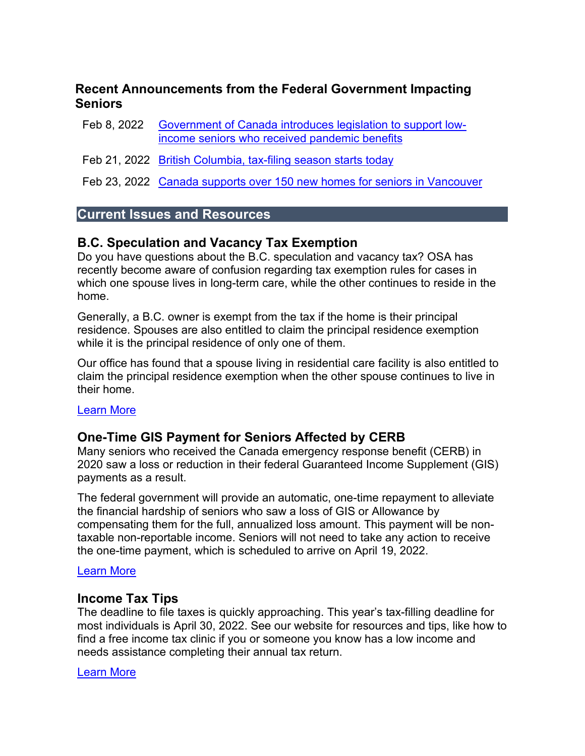### **Recent Announcements from the Federal Government Impacting Seniors**

- Feb 8, 2022 [Government of Canada introduces legislation to support low](https://www.canada.ca/en/employment-social-development/news/2022/02/oas-leg-news-release.html)[income seniors who received pandemic benefits](https://www.canada.ca/en/employment-social-development/news/2022/02/oas-leg-news-release.html)
- Feb 21, 2022 [British Columbia, tax-filing season starts today](https://www.canada.ca/en/revenue-agency/news/2022/02/british-columbia-tax-filing-season-starts-today.html)
- Feb 23, 2022 [Canada supports over 150 new homes for seniors in Vancouver](https://www.newswire.ca/news-releases/canada-supports-over-150-new-homes-for-seniors-in-vancouver-877844794.html)

### **Current Issues and Resources**

### **B.C. Speculation and Vacancy Tax Exemption**

Do you have questions about the B.C. speculation and vacancy tax? OSA has recently become aware of confusion regarding tax exemption rules for cases in which one spouse lives in long-term care, while the other continues to reside in the home.

Generally, a B.C. owner is exempt from the tax if the home is their principal residence. Spouses are also entitled to claim the principal residence exemption while it is the principal residence of only one of them.

Our office has found that a spouse living in residential care facility is also entitled to claim the principal residence exemption when the other spouse continues to live in their home.

#### [Learn More](https://www.seniorsadvocatebc.ca/current-issues/b-c-speculation-tax-and-vacancy-tax/)

# **One-Time GIS Payment for Seniors Affected by CERB**

Many seniors who received the Canada emergency response benefit (CERB) in 2020 saw a loss or reduction in their federal Guaranteed Income Supplement (GIS) payments as a result.

The federal government will provide an automatic, one-time repayment to alleviate the financial hardship of seniors who saw a loss of GIS or Allowance by compensating them for the full, annualized loss amount. This payment will be nontaxable non-reportable income. Seniors will not need to take any action to receive the one-time payment, which is scheduled to arrive on April 19, 2022.

#### [Learn More](https://www.seniorsadvocatebc.ca/current-issues/one-time-gis-payment-for-seniors-affected-by-cerb/)

#### **Income Tax Tips**

The deadline to file taxes is quickly approaching. This year's tax-filling deadline for most individuals is April 30, 2022. See our website for resources and tips, like how to find a free income tax clinic if you or someone you know has a low income and needs assistance completing their annual tax return.

#### [Learn More](https://www.seniorsadvocatebc.ca/current-issues/tax-preparation/)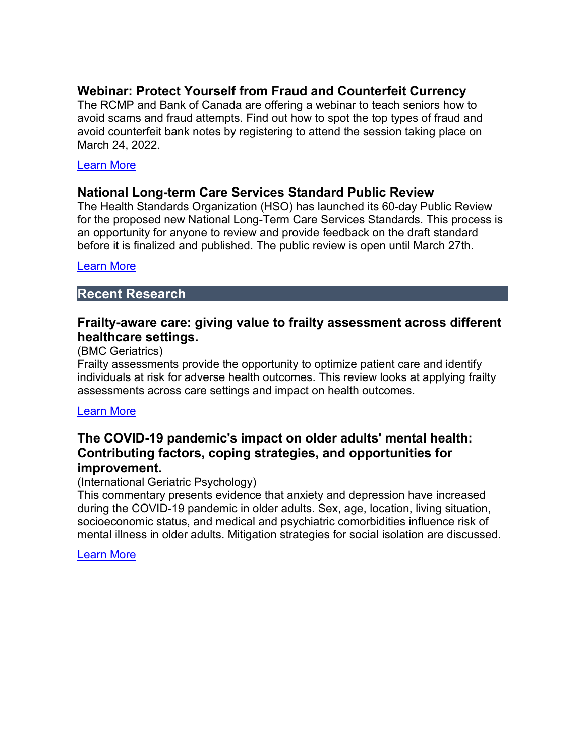# **Webinar: Protect Yourself from Fraud and Counterfeit Currency**

The RCMP and Bank of Canada are offering a webinar to teach seniors how to avoid scams and fraud attempts. Find out how to spot the top types of fraud and avoid counterfeit bank notes by registering to attend the session taking place on March 24, 2022.

#### [Learn More](https://forms.office.com/pages/responsepage.aspx?id=L-26LmOvr0Wme-wk8u6371QIvZKI5qtEgK8fA2IsBlVUQVZKUjVRNUZYNUlEN1ZCMEg3M1ZWTUFYNy4u)

### **National Long-term Care Services Standard Public Review**

The Health Standards Organization (HSO) has launched its 60-day Public Review for the proposed new National Long-Term Care Services Standards. This process is an opportunity for anyone to review and provide feedback on the draft standard before it is finalized and published. The public review is open until March 27th.

#### [Learn More](https://healthstandards.org/public-reviews/long-term-care-services/)

### **Recent Research**

### **Frailty-aware care: giving value to frailty assessment across different healthcare settings.**

#### (BMC Geriatrics)

Frailty assessments provide the opportunity to optimize patient care and identify individuals at risk for adverse health outcomes. This review looks at applying frailty assessments across care settings and impact on health outcomes.

#### [Learn More](https://link.springer.com/article/10.1186/s12877-021-02722-9)

# **The COVID-19 pandemic's impact on older adults' mental health: Contributing factors, coping strategies, and opportunities for improvement.**

#### (International Geriatric Psychology)

This commentary presents evidence that anxiety and depression have increased during the COVID-19 pandemic in older adults. Sex, age, location, living situation, socioeconomic status, and medical and psychiatric comorbidities influence risk of mental illness in older adults. Mitigation strategies for social isolation are discussed.

[Learn More](https://onlinelibrary.wiley.com/doi/full/10.1002/gps.5647)